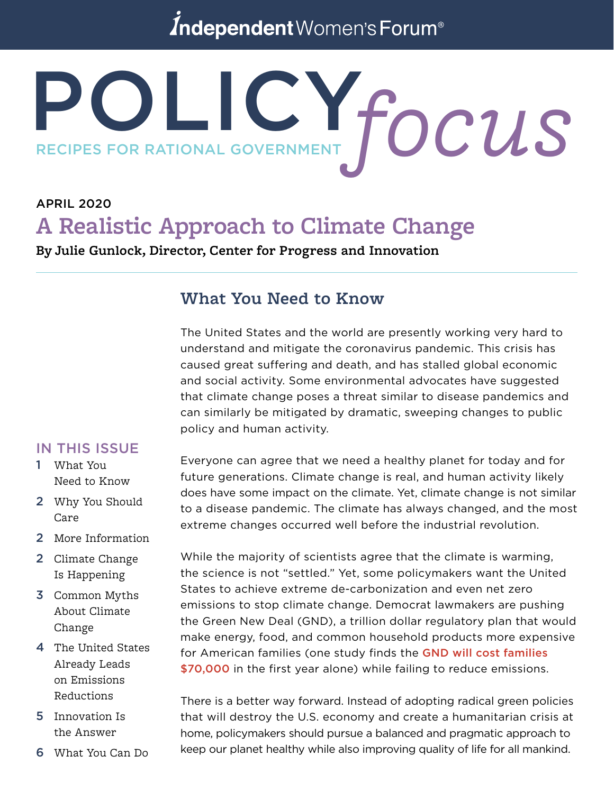# Independent Women's Forum<sup>®</sup>

# POLICY. RECIPES FOR RATIONAL GOVERNMENT **focus**

# APRIL 2020 **A Realistic Approach to Climate Change**

**By Julie Gunlock, Director, Center for Progress and Innovation**

# **What You Need to Know**

The United States and the world are presently working very hard to understand and mitigate the coronavirus pandemic. This crisis has caused great suffering and death, and has stalled global economic and social activity. Some environmental advocates have suggested that climate change poses a threat similar to disease pandemics and can similarly be mitigated by dramatic, sweeping changes to public policy and human activity.

#### IN THIS ISSUE

- 1 What You Need to Know
- 2 Why You Should Care
- 2 More Information
- 2 Climate Change Is Happening
- 3 Common Myths About Climate Change
- 4 The United States Already Leads on Emissions Reductions
- 5 Innovation Is the Answer
- 6 What You Can Do

Everyone can agree that we need a healthy planet for today and for future generations. Climate change is real, and human activity likely does have some impact on the climate. Yet, climate change is not similar to a disease pandemic. The climate has always changed, and the most extreme changes occurred well before the industrial revolution.

While the majority of scientists agree that the climate is warming, the science is not "settled." Yet, some policymakers want the United States to achieve extreme de-carbonization and even net zero emissions to stop climate change. Democrat lawmakers are pushing the Green New Deal (GND), a trillion dollar regulatory plan that would make energy, food, and common household products more expensive for American families (one study finds the [GND will cost families](https://www.cnsnews.com/news/article/ilona-schumicky/report-cost-green-new-deal-us-households-more-70000-first-year)  [\\$70,000](https://www.cnsnews.com/news/article/ilona-schumicky/report-cost-green-new-deal-us-households-more-70000-first-year) in the first year alone) while failing to reduce emissions.

There is a better way forward. Instead of adopting radical green policies that will destroy the U.S. economy and create a humanitarian crisis at home, policymakers should pursue a balanced and pragmatic approach to keep our planet healthy while also improving quality of life for all mankind.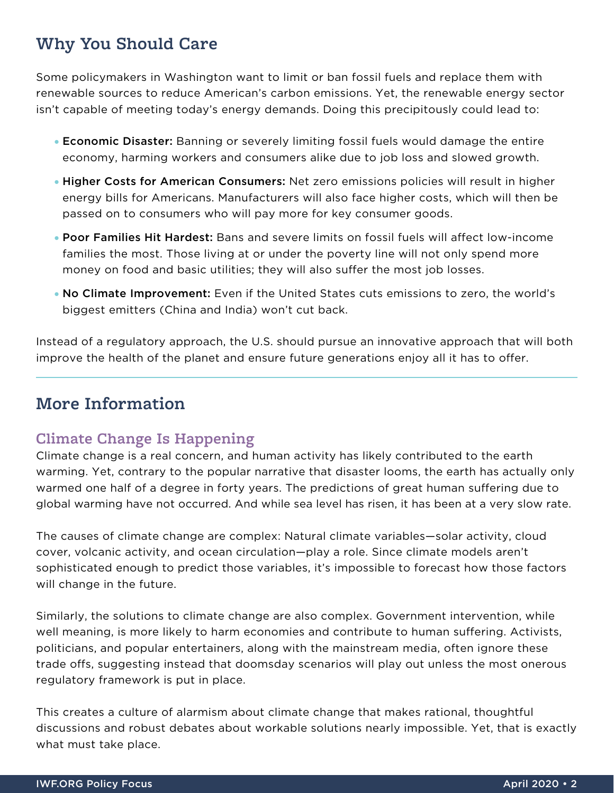# **Why You Should Care**

Some policymakers in Washington want to limit or ban fossil fuels and replace them with renewable sources to reduce American's carbon emissions. Yet, the renewable energy sector isn't capable of meeting today's energy demands. Doing this precipitously could lead to:

- Economic Disaster: Banning or severely limiting fossil fuels would damage the entire economy, harming workers and consumers alike due to job loss and slowed growth.
- Higher Costs for American Consumers: Net zero emissions policies will result in higher energy bills for Americans. Manufacturers will also face higher costs, which will then be passed on to consumers who will pay more for key consumer goods.
- Poor Families Hit Hardest: Bans and severe limits on fossil fuels will affect low-income families the most. Those living at or under the poverty line will not only spend more money on food and basic utilities; they will also suffer the most job losses.
- No Climate Improvement: Even if the United States cuts emissions to zero, the world's biggest emitters (China and India) won't cut back.

Instead of a regulatory approach, the U.S. should pursue an innovative approach that will both improve the health of the planet and ensure future generations enjoy all it has to offer.

# **More Information**

# **Climate Change Is Happening**

Climate change is a real concern, and human activity has likely contributed to the earth warming. Yet, contrary to the popular narrative that disaster looms, the earth has actually only warmed one half of a degree in forty years. The predictions of great human suffering due to global warming have not occurred. And while sea level has risen, it has been at a very slow rate.

The causes of climate change are complex: Natural climate variables—solar activity, cloud cover, volcanic activity, and ocean circulation—play a role. Since climate models aren't sophisticated enough to predict those variables, it's impossible to forecast how those factors will change in the future.

Similarly, the solutions to climate change are also complex. Government intervention, while well meaning, is more likely to harm economies and contribute to human suffering. Activists, politicians, and popular entertainers, along with the mainstream media, often ignore these trade offs, suggesting instead that doomsday scenarios will play out unless the most onerous regulatory framework is put in place.

This creates a culture of alarmism about climate change that makes rational, thoughtful discussions and robust debates about workable solutions nearly impossible. Yet, that is exactly what must take place.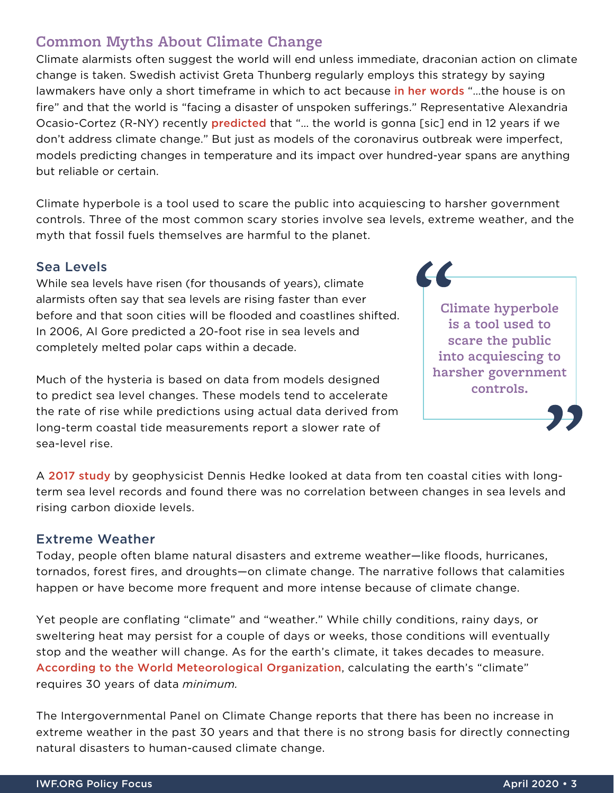## **Common Myths About Climate Change**

Climate alarmists often suggest the world will end unless immediate, draconian action on climate change is taken. Swedish activist Greta Thunberg regularly employs this strategy by saying lawmakers have only a short timeframe in which to act because [in her words](https://www.theguardian.com/environment/2019/jan/25/our-house-is-on-fire-greta-thunberg16-urges-leaders-to-act-on-climate) "...the house is on fire" and that the world is "facing a disaster of unspoken sufferings." Representative Alexandria Ocasio-Cortez (R-NY) recently [predicted](https://www.realclearpolitics.com/video/2019/01/22/ocasio-cortez_the_world_is_going_to_end_in_12_years_if_we_dont_address_climate_change.html) that "… the world is gonna [sic] end in 12 years if we don't address climate change." But just as models of the coronavirus outbreak were imperfect, models predicting changes in temperature and its impact over hundred-year spans are anything but reliable or certain.

Climate hyperbole is a tool used to scare the public into acquiescing to harsher government controls. Three of the most common scary stories involve sea levels, extreme weather, and the myth that fossil fuels themselves are harmful to the planet.

#### Sea Levels

While sea levels have risen (for thousands of years), climate alarmists often say that sea levels are rising faster than ever before and that soon cities will be flooded and coastlines shifted. In 2006, Al Gore predicted a 20-foot rise in sea levels and completely melted polar caps within a decade.

Much of the hysteria is based on data from models designed to predict sea level changes. These models tend to accelerate the rate of rise while predictions using actual data derived from long-term coastal tide measurements report a slower rate of sea-level rise.

**CC Climate hyperbole is a tool used to scare the public into acquiescing to harsher government controls.**

A [2017 study](https://www.heartland.org/publications-resources/publications/data-versus-hype-how-ten-cities-show-sea-level-rise-is-a-false-crisis) by geophysicist Dennis Hedke looked at data from ten coastal cities with longterm sea level records and found there was no correlation between changes in sea levels and rising carbon dioxide levels.

#### Extreme Weather

Today, people often blame natural disasters and extreme weather—like floods, hurricanes, tornados, forest fires, and droughts—on climate change. The narrative follows that calamities happen or have become more frequent and more intense because of climate change.

Yet people are conflating "climate" and "weather." While chilly conditions, rainy days, or sweltering heat may persist for a couple of days or weeks, those conditions will eventually stop and the weather will change. As for the earth's climate, it takes decades to measure. [According to the World Meteorological Organization](https://library.wmo.int/doc_num.php?explnum_id=4166), calculating the earth's "climate" requires 30 years of data *minimum.*

The Intergovernmental Panel on Climate Change reports that there has been no increase in extreme weather in the past 30 years and that there is no strong basis for directly connecting natural disasters to human-caused climate change.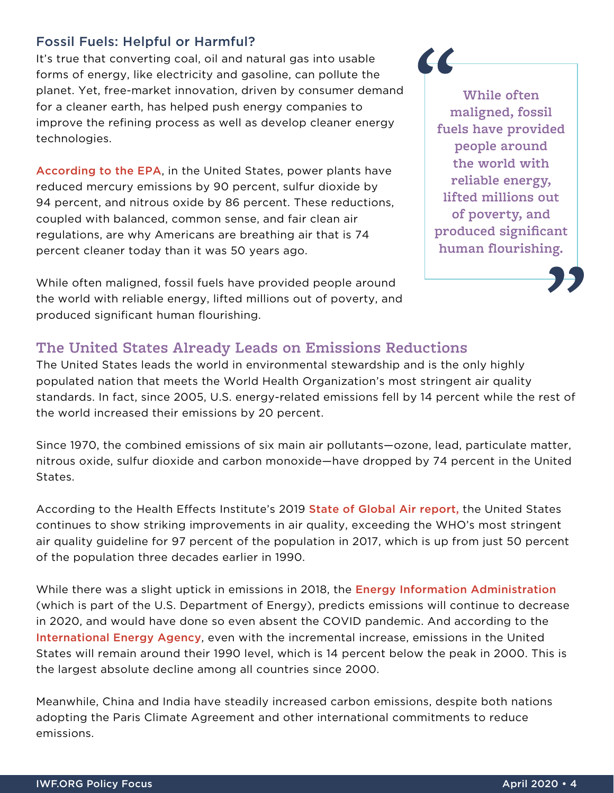#### Fossil Fuels: Helpful or Harmful?

It's true that converting coal, oil and natural gas into usable forms of energy, like electricity and gasoline, can pollute the planet. Yet, free-market innovation, driven by consumer demand for a cleaner earth, has helped push energy companies to improve the refining process as well as develop cleaner energy technologies.

[According to the EPA](https://www.epa.gov/airmarkets/power-plant-emission-trends), in the United States, power plants have reduced mercury emissions by 90 percent, sulfur dioxide by 94 percent, and nitrous oxide by 86 percent. These reductions, coupled with balanced, common sense, and fair clean air regulations, are why Americans are breathing air that is 74 percent cleaner today than it was 50 years ago.

While often maligned, fossil fuels have provided people around the world with reliable energy, lifted millions out of poverty, and produced significant human flourishing.

## **While often maligned, fossil fuels have provided people around the world with reliable energy, lifted millions out of poverty, and produced significant human flourishing.**

 $\overline{\mathcal{L}}$ 

#### **The United States Already Leads on Emissions Reductions**

The United States leads the world in environmental stewardship and is the only highly populated nation that meets the World Health Organization's most stringent air quality standards. In fact, since 2005, U.S. energy-related emissions fell by 14 percent while the rest of the world increased their emissions by 20 percent.

Since 1970, the combined emissions of six main air pollutants—ozone, lead, particulate matter, nitrous oxide, sulfur dioxide and carbon monoxide—have dropped by 74 percent in the United States.

According to the Health Effects Institute's 2019 **State of Global Air report**, the United States continues to show striking improvements in air quality, exceeding the WHO's most stringent air quality guideline for 97 percent of the population in 2017, which is up from just 50 percent of the population three decades earlier in 1990.

While there was a slight uptick in emissions in 2018, the **[Energy Information Administration](https://www.eia.gov/todayinenergy/detail.php?id=42515)** (which is part of the U.S. Department of Energy), predicts emissions will continue to decrease in 2020, and would have done so even absent the COVID pandemic. And according to the [International Energy Agency](https://www.iea.org/reports/global-energy-co2-status-report-2019/emissions), even with the incremental increase, emissions in the United States will remain around their 1990 level, which is 14 percent below the peak in 2000. This is the largest absolute decline among all countries since 2000.

Meanwhile, China and India have steadily increased carbon emissions, despite both nations adopting the Paris Climate Agreement and other international commitments to reduce emissions.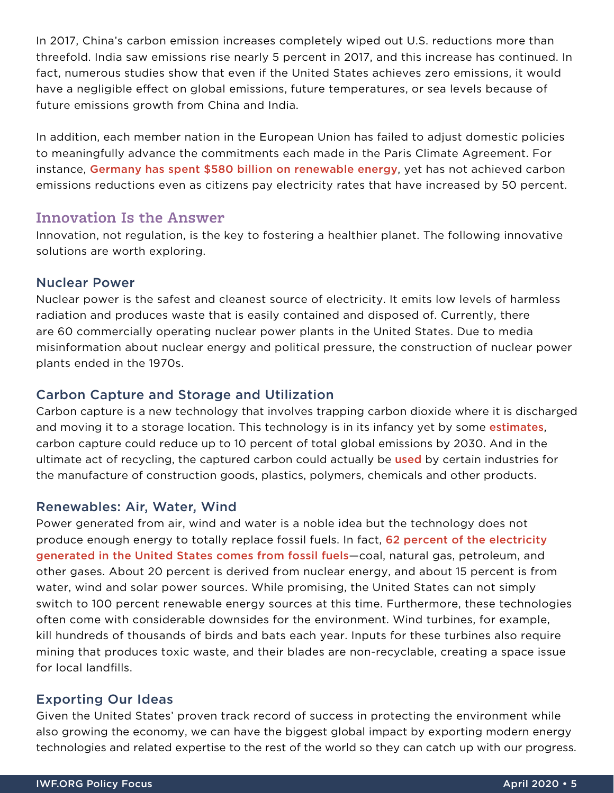In 2017, China's carbon emission increases completely wiped out U.S. reductions more than threefold. India saw emissions rise nearly 5 percent in 2017, and this increase has continued. In fact, numerous studies show that even if the United States achieves zero emissions, it would have a negligible effect on global emissions, future temperatures, or sea levels because of future emissions growth from China and India.

In addition, each member nation in the European Union has failed to adjust domestic policies to meaningfully advance the commitments each made in the Paris Climate Agreement. For instance, [Germany has spent \\$580 billion on renewable energy](https://www.forbes.com/sites/michaelshellenberger/2019/02/08/the-only-green-new-deals-that-have-ever-worked-were-done-with-nuclear-not-renewables/#6f0e9ef67f61), yet has not achieved carbon emissions reductions even as citizens pay electricity rates that have increased by 50 percent.

#### **Innovation Is the Answer**

Innovation, not regulation, is the key to fostering a healthier planet. The following innovative solutions are worth exploring.

#### Nuclear Power

Nuclear power is the safest and cleanest source of electricity. It emits low levels of harmless radiation and produces waste that is easily contained and disposed of. Currently, there are 60 commercially operating nuclear power plants in the United States. Due to media misinformation about nuclear energy and political pressure, the construction of nuclear power plants ended in the 1970s.

#### Carbon Capture and Storage and Utilization

Carbon capture is a new technology that involves trapping carbon dioxide where it is discharged and moving it to a storage location. This technology is in its infancy yet by some [estimates](https://pubs.rsc.org/en/content/articlelanding/2015/ee/c4ee04117h#!divAbstract), carbon capture could reduce up to 10 percent of total global emissions by 2030. And in the ultimate act of recycling, the captured carbon could actually be [used](https://www.vox.com/energy-and-environment/2019/9/4/20829431/climate-change-carbon-capture-utilization-sequestration-ccu-ccs) by certain industries for the manufacture of construction goods, plastics, polymers, chemicals and other products.

#### Renewables: Air, Water, Wind

Power generated from air, wind and water is a noble idea but the technology does not produce enough energy to totally replace fossil fuels. In fact, 62 percent of the electricity [generated in the United States comes from fossil fuels](https://www.eia.gov/tools/faqs/faq.php?id=427&t=3)—coal, natural gas, petroleum, and other gases. About 20 percent is derived from nuclear energy, and about 15 percent is from water, wind and solar power sources. While promising, the United States can not simply switch to 100 percent renewable energy sources at this time. Furthermore, these technologies often come with considerable downsides for the environment. Wind turbines, for example, kill hundreds of thousands of birds and bats each year. Inputs for these turbines also require mining that produces toxic waste, and their blades are non-recyclable, creating a space issue for local landfills.

#### Exporting Our Ideas

Given the United States' proven track record of success in protecting the environment while also growing the economy, we can have the biggest global impact by exporting modern energy technologies and related expertise to the rest of the world so they can catch up with our progress.